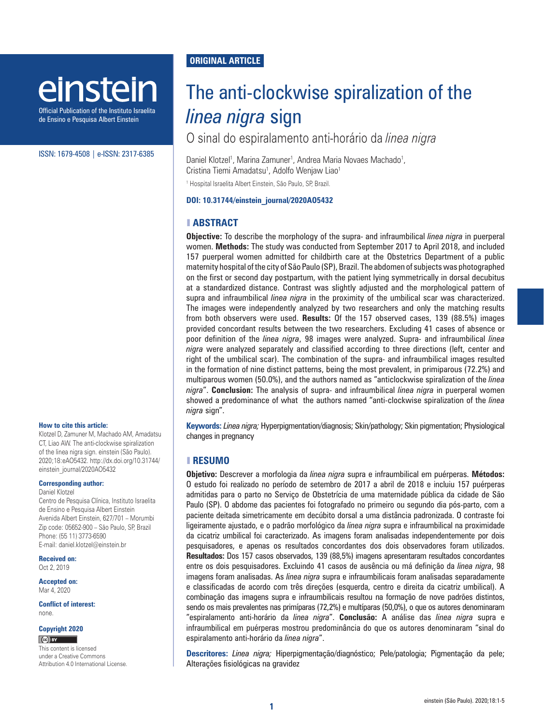# einstein

Official Publication of the Instituto Israelita de Ensino e Pesquisa Albert Einstein

#### ISSN: 1679-4508 | e-ISSN: 2317-6385

#### **How to cite this article:**

Klotzel D, Zamuner M, Machado AM, Amadatsu CT, Liao AW. The anti-clockwise spiralization of the linea nigra sign. einstein (São Paulo). 2020;18:eAO5432. [http://dx.doi.org/10.31744/](http://dx.doi.org/10.31744/einstein_journal/2020AE5432) [einstein\\_journal/2020AO5432](http://dx.doi.org/10.31744/einstein_journal/2020AE5432)

**Corresponding author:**

Daniel Klotzel

Centro de Pesquisa Clínica, Instituto Israelita de Ensino e Pesquisa Albert Einstein Avenida Albert Einstein, 627/701 – Morumbi Zip code: 05652-900 – São Paulo, SP, Brazil Phone: (55 11) 3773-6590 E-mail: daniel.klotzel@einstein.br

**Received on:** Oct 2, 2019

**Accepted on:** Mar 4, 2020

**Conflict of interest:** none.

#### **Copyright 2020**

 $(C)$  BY

This content is licensed under a Creative Commons Attribution 4.0 International License.

## **ORIGINAL ARTICLE**

# The anti-clockwise spiralization of the *linea nigra* sign

O sinal do espiralamento anti-horário da *linea nigra*

Daniel Klotzel<sup>1</sup>, Marina Zamuner<sup>1</sup>, Andrea Maria Novaes Machado<sup>1</sup>, Cristina Tiemi Amadatsu<sup>1</sup>, Adolfo Wenjaw Liao<sup>1</sup>

1 Hospital Israelita Albert Einstein, São Paulo, SP, Brazil.

#### **DOI: 10.31744/einstein\_journal/2020AO5432**

#### ❚ **ABSTRACT**

**Objective:** To describe the morphology of the supra- and infraumbilical *linea nigra* in puerperal women. **Methods:** The study was conducted from September 2017 to April 2018, and included 157 puerperal women admitted for childbirth care at the Obstetrics Department of a public maternity hospital of the city of São Paulo (SP), Brazil. The abdomen of subjects was photographed on the first or second day postpartum, with the patient lying symmetrically in dorsal decubitus at a standardized distance. Contrast was slightly adjusted and the morphological pattern of supra and infraumbilical *linea nigra* in the proximity of the umbilical scar was characterized. The images were independently analyzed by two researchers and only the matching results from both observers were used. **Results:** Of the 157 observed cases, 139 (88.5%) images provided concordant results between the two researchers. Excluding 41 cases of absence or poor definition of the *linea nigra*, 98 images were analyzed. Supra- and infraumbilical *linea nigra* were analyzed separately and classified according to three directions (left, center and right of the umbilical scar). The combination of the supra- and infraumbilical images resulted in the formation of nine distinct patterns, being the most prevalent, in primiparous (72.2%) and multiparous women (50.0%), and the authors named as "anticlockwise spiralization of the *linea nigra*". **Conclusion:** The analysis of supra- and infraumbilical *linea nigra* in puerperal women showed a predominance of what the authors named "anti-clockwise spiralization of the *linea nigra* sign".

**Keywords:** *Linea nigra;* Hyperpigmentation/diagnosis; Skin/pathology; Skin pigmentation; Physiological changes in pregnancy

## ❚ **RESUMO**

**Objetivo:** Descrever a morfologia da *linea nigra* supra e infraumbilical em puérperas. **Métodos:** O estudo foi realizado no período de setembro de 2017 a abril de 2018 e incluiu 157 puérperas admitidas para o parto no Serviço de Obstetrícia de uma maternidade pública da cidade de São Paulo (SP). O abdome das pacientes foi fotografado no primeiro ou segundo dia pós-parto, com a paciente deitada simetricamente em decúbito dorsal a uma distância padronizada. O contraste foi ligeiramente ajustado, e o padrão morfológico da *linea nigra* supra e infraumbilical na proximidade da cicatriz umbilical foi caracterizado. As imagens foram analisadas independentemente por dois pesquisadores, e apenas os resultados concordantes dos dois observadores foram utilizados. **Resultados:** Dos 157 casos observados, 139 (88,5%) imagens apresentaram resultados concordantes entre os dois pesquisadores. Excluindo 41 casos de ausência ou má definição da *linea nigra*, 98 imagens foram analisadas. As *linea nigra* supra e infraumbilicais foram analisadas separadamente e classificadas de acordo com três direções (esquerda, centro e direita da cicatriz umbilical). A combinação das imagens supra e infraumbilicais resultou na formação de nove padrões distintos, sendo os mais prevalentes nas primíparas (72,2%) e multíparas (50,0%), o que os autores denominaram "espiralamento anti-horário da *linea nigra*". **Conclusão:** A análise das *linea nigra* supra e infraumbilical em puérperas mostrou predominância do que os autores denominaram "sinal do espiralamento anti-horário da *linea nigra*".

**Descritores:** *Linea nigra;* Hiperpigmentação/diagnóstico; Pele/patologia; Pigmentação da pele; Alterações fisiológicas na gravidez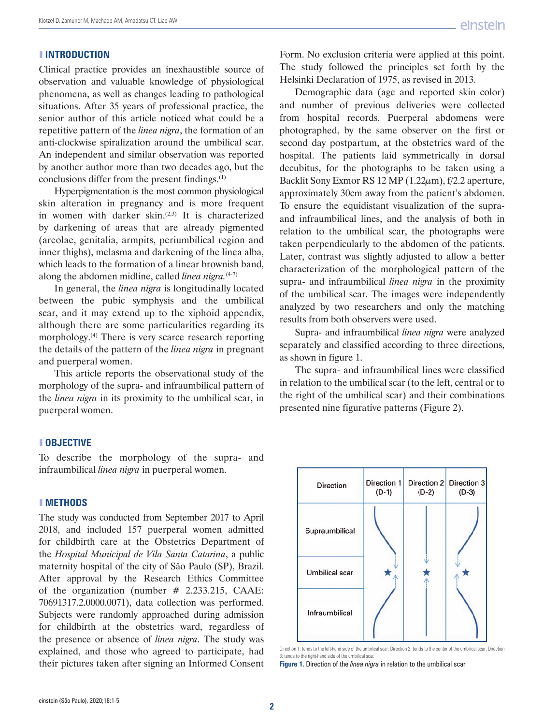### ❚ **INTRODUCTION**

Clinical practice provides an inexhaustible source of observation and valuable knowledge of physiological phenomena, as well as changes leading to pathological situations. After 35 years of professional practice, the senior author of this article noticed what could be a repetitive pattern of the *linea nigra*, the formation of an anti-clockwise spiralization around the umbilical scar. An independent and similar observation was reported by another author more than two decades ago, but the conclusions differ from the present findings.(1)

Hyperpigmentation is the most common physiological skin alteration in pregnancy and is more frequent in women with darker skin.<sup>(2,3)</sup> It is characterized by darkening of areas that are already pigmented (areolae, genitalia, armpits, periumbilical region and inner thighs), melasma and darkening of the linea alba, which leads to the formation of a linear brownish band, along the abdomen midline, called *linea nigra.*(4-7)

In general, the *linea nigra* is longitudinally located between the pubic symphysis and the umbilical scar, and it may extend up to the xiphoid appendix, although there are some particularities regarding its morphology.(4) There is very scarce research reporting the details of the pattern of the *linea nigra* in pregnant and puerperal women.

This article reports the observational study of the morphology of the supra- and infraumbilical pattern of the *linea nigra* in its proximity to the umbilical scar, in puerperal women.

#### ❚ **OBJECTIVE**

To describe the morphology of the supra- and infraumbilical *linea nigra* in puerperal women.

#### ❚ **METHODS**

The study was conducted from September 2017 to April 2018, and included 157 puerperal women admitted for childbirth care at the Obstetrics Department of the *Hospital Municipal de Vila Santa Catarina*, a public maternity hospital of the city of São Paulo (SP), Brazil. After approval by the Research Ethics Committee of the organization (number # 2.233.215, CAAE: 70691317.2.0000.0071), data collection was performed. Subjects were randomly approached during admission for childbirth at the obstetrics ward, regardless of the presence or absence of *linea nigra*. The study was explained, and those who agreed to participate, had their pictures taken after signing an Informed Consent

Form. No exclusion criteria were applied at this point. The study followed the principles set forth by the Helsinki Declaration of 1975, as revised in 2013.

Demographic data (age and reported skin color) and number of previous deliveries were collected from hospital records. Puerperal abdomens were photographed, by the same observer on the first or second day postpartum, at the obstetrics ward of the hospital. The patients laid symmetrically in dorsal decubitus, for the photographs to be taken using a Backlit [Sony Exmor RS](https://en.m.wikipedia.org/wiki/Sony_Exmor_RS) 12 MP  $(1.22 \mu m)$ , f/2.2 [aperture](https://en.m.wikipedia.org/wiki/F-number), approximately 30cm away from the patient's abdomen. To ensure the equidistant visualization of the supraand infraumbilical lines, and the analysis of both in relation to the umbilical scar, the photographs were taken perpendicularly to the abdomen of the patients. Later, contrast was slightly adjusted to allow a better characterization of the morphological pattern of the supra- and infraumbilical *linea nigra* in the proximity of the umbilical scar. The images were independently analyzed by two researchers and only the matching results from both observers were used.

Supra- and infraumbilical *linea nigra* were analyzed separately and classified according to three directions, as shown in figure 1.

The supra- and infraumbilical lines were classified in relation to the umbilical scar (to the left, central or to the right of the umbilical scar) and their combinations presented nine figurative patterns (Figure 2).



Direction 1: tends to the left-hand side of the umbilical scar; Direction 2: tends to the center of the umbilical scar; Direction 3: tends to the right-hand side of the umbilical scar.

**Figure 1.** Direction of the *linea nigra* in relation to the umbilical scar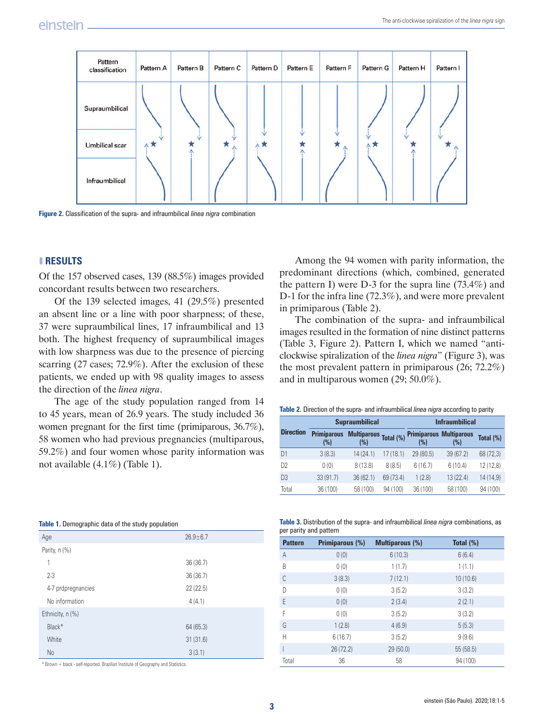| Pattern<br>classification | Pattern A | Pattern B | Pattern C | Pattern D | Pattern E | Pattern F      | Pattern G | Pattern H | Pattern I |
|---------------------------|-----------|-----------|-----------|-----------|-----------|----------------|-----------|-----------|-----------|
| Supraumbilical            |           |           |           |           |           |                |           |           |           |
| <b>Umbilical scar</b>     | ∧★        |           | ѫ<br>Λ    | ∧         |           | ж<br>$\Lambda$ | <b>AR</b> |           |           |
| Infraumbilical            |           |           |           |           |           |                |           |           |           |

**Figure 2.** Classification of the supra- and infraumbilical *linea nigra* combination

### ❚ **RESULTS**

Of the 157 observed cases, 139 (88.5%) images provided concordant results between two researchers.

Of the 139 selected images, 41 (29.5%) presented an absent line or a line with poor sharpness; of these, 37 were supraumbilical lines, 17 infraumbilical and 13 both. The highest frequency of supraumbilical images with low sharpness was due to the presence of piercing scarring (27 cases; 72.9%). After the exclusion of these patients, we ended up with 98 quality images to assess the direction of the *linea nigra*.

The age of the study population ranged from 14 to 45 years, mean of 26.9 years. The study included 36 women pregnant for the first time (primiparous, 36.7%), 58 women who had previous pregnancies (multiparous, 59.2%) and four women whose parity information was not available (4.1%) (Table 1).

|  | Table 1. Demographic data of the study population |  |  |  |
|--|---------------------------------------------------|--|--|--|
|  |                                                   |  |  |  |

| Age                | $26.9 + 6.7$ |  |
|--------------------|--------------|--|
| Parity, n (%)      |              |  |
| 1                  | 36(36.7)     |  |
| $2 - 3$            | 36 (36.7)    |  |
| 4-7 prdpregnancies | 22(22.5)     |  |
| No information     | 4(4.1)       |  |
| Ethnicity, n (%)   |              |  |
| Black*             | 64(65.3)     |  |
| White              | 31(31.6)     |  |
| <b>No</b>          | 3(3.1)       |  |

\* Brown + black - self-reported. Brazilian Institute of Geography and Statistics.

Among the 94 women with parity information, the predominant directions (which, combined, generated the pattern I) were D-3 for the supra line (73.4%) and D-1 for the infra line (72.3%), and were more prevalent in primiparous (Table 2).

The combination of the supra- and infraumbilical images resulted in the formation of nine distinct patterns (Table 3, Figure 2). Pattern I, which we named "anticlockwise spiralization of the *linea nigra*" (Figure 3), was the most prevalent pattern in primiparous (26; 72.2%) and in multiparous women (29; 50.0%).

**Table 2.** Direction of the supra- and infraumbilical *linea nigra* according to parity

|                  |                           | <b>Supraumbilical</b>     |              | <b>Infraumbilical</b> |                                       |           |  |
|------------------|---------------------------|---------------------------|--------------|-----------------------|---------------------------------------|-----------|--|
| <b>Direction</b> | <b>Primiparous</b><br>(%) | <b>Multiparous</b><br>(%) | Total $(\%)$ | (%)                   | <b>Primiparous Multiparous</b><br>(%) | Total (%) |  |
| D <sub>1</sub>   | 3(8.3)                    | 14 (24.1)                 | 17(18.1)     | 29 (80.5)             | 39(67.2)                              | 68 (72,3) |  |
| D <sub>2</sub>   | 0(0)                      | 8(13.8)                   | 8(8.5)       | 6(16.7)               | 6(10.4)                               | 12 (12,8) |  |
| D <sub>3</sub>   | 33(91.7)                  | 36(62.1)                  | 69 (73.4)    | 1(2.8)                | 13 (22.4)                             | 14 (14,9) |  |
| Total            | 36 (100)                  | 58 (100)                  | 94 (100)     | 36 (100)              | 58 (100)                              | 94 (100)  |  |

| Table 3. Distribution of the supra- and infraumbilical linea nigra combinations, as |  |  |  |
|-------------------------------------------------------------------------------------|--|--|--|
| per parity and pattern                                                              |  |  |  |

| <b>Pattern</b> | <b>Primiparous (%)</b> | <b>Multiparous (%)</b> | Total $(\%)$ |
|----------------|------------------------|------------------------|--------------|
| A              | 0(0)                   | 6(10.3)                | 6(6.4)       |
| B              | 0(0)                   | 1(1.7)                 | 1(1.1)       |
| C              | 3(8.3)                 | 7(12.1)                | 10 (10.6)    |
| D              | 0(0)                   | 3(5.2)                 | 3(3.2)       |
| E              | 0(0)                   | 2(3.4)                 | 2(2.1)       |
| F              | 0(0)                   | 3(5.2)                 | 3(3.2)       |
| G              | 1(2.8)                 | 4(6.9)                 | 5(5.3)       |
| Н              | 6(16.7)                | 3(5.2)                 | 9(9.6)       |
|                | 26 (72.2)              | 29(50.0)               | 55 (58.5)    |
| Total          | 36                     | 58                     | 94 (100)     |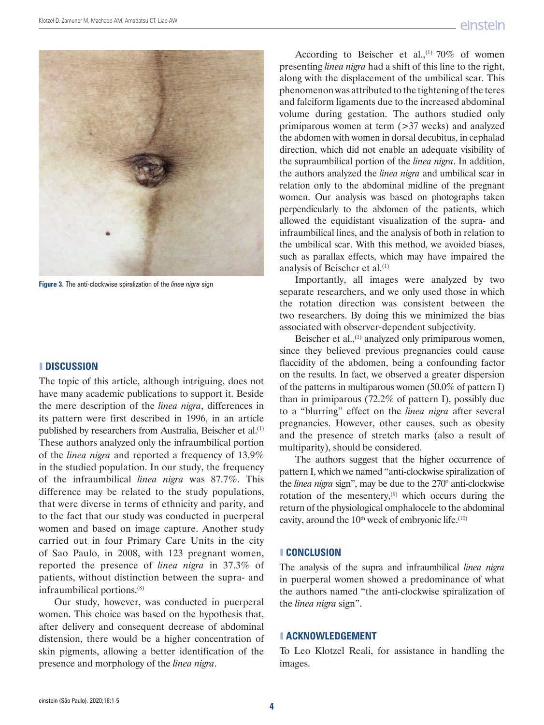

**Figure 3.** The anti-clockwise spiralization of the *linea nigra* sign

#### ❚ **DISCUSSION**

The topic of this article, although intriguing, does not have many academic publications to support it. Beside the mere description of the *linea nigra*, differences in its pattern were first described in 1996, in an article published by researchers from Australia, Beischer et al.<sup>(1)</sup> These authors analyzed only the infraumbilical portion of the *linea nigra* and reported a frequency of 13.9% in the studied population. In our study, the frequency of the infraumbilical *linea nigra* was 87.7%. This difference may be related to the study populations, that were diverse in terms of ethnicity and parity, and to the fact that our study was conducted in puerperal women and based on image capture. Another study carried out in four Primary Care Units in the city of Sao Paulo, in 2008, with 123 pregnant women, reported the presence of *linea nigra* in 37.3% of patients, without distinction between the supra- and infraumbilical portions.(8)

Our study, however, was conducted in puerperal women. This choice was based on the hypothesis that, after delivery and consequent decrease of abdominal distension, there would be a higher concentration of skin pigments, allowing a better identification of the presence and morphology of the *linea nigra*.

According to Beischer et al.,<sup>(1)</sup> 70% of women presenting *linea nigra* had a shift of this line to the right, along with the displacement of the umbilical scar. This phenomenon was attributed to the tightening of the teres and falciform ligaments due to the increased abdominal volume during gestation. The authors studied only primiparous women at term  $($ >37 weeks) and analyzed the abdomen with women in dorsal decubitus, in cephalad direction, which did not enable an adequate visibility of the supraumbilical portion of the *linea nigra*. In addition, the authors analyzed the *linea nigra* and umbilical scar in relation only to the abdominal midline of the pregnant women. Our analysis was based on photographs taken perpendicularly to the abdomen of the patients, which allowed the equidistant visualization of the supra- and infraumbilical lines, and the analysis of both in relation to the umbilical scar. With this method, we avoided biases, such as parallax effects, which may have impaired the analysis of Beischer et al.(1)

Importantly, all images were analyzed by two separate researchers, and we only used those in which the rotation direction was consistent between the two researchers. By doing this we minimized the bias associated with observer-dependent subjectivity.

Beischer et al.,<sup>(1)</sup> analyzed only primiparous women, since they believed previous pregnancies could cause flaccidity of the abdomen, being a confounding factor on the results. In fact, we observed a greater dispersion of the patterns in multiparous women (50.0% of pattern I) than in primiparous (72.2% of pattern I), possibly due to a "blurring" effect on the *linea nigra* after several pregnancies. However, other causes, such as obesity and the presence of stretch marks (also a result of multiparity), should be considered.

The authors suggest that the higher occurrence of pattern I, which we named "anti-clockwise spiralization of the *linea nigra* sign", may be due to the 270° anti-clockwise rotation of the mesentery, $(9)$  which occurs during the return of the physiological omphalocele to the abdominal cavity, around the  $10<sup>th</sup>$  week of embryonic life.<sup> $(10)$ </sup>

#### ❚ **CONCLUSION**

The analysis of the supra and infraumbilical *linea nigra* in puerperal women showed a predominance of what the authors named "the anti-clockwise spiralization of the *linea nigra* sign".

#### ❚ **ACKNOWLEDGEMENT**

To Leo Klotzel Reali, for assistance in handling the images.